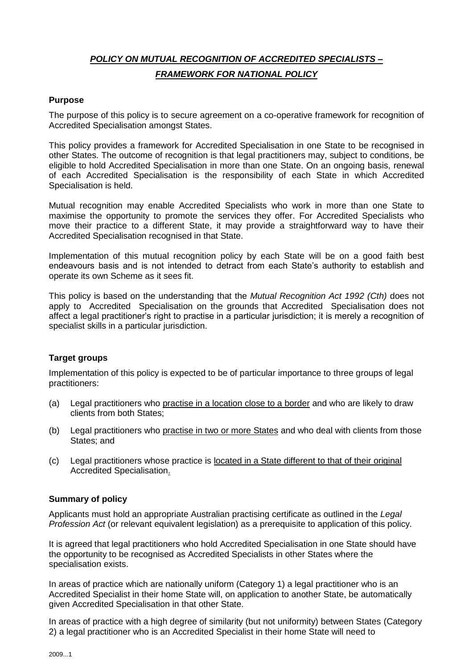## *POLICY ON MUTUAL RECOGNITION OF ACCREDITED SPECIALISTS – FRAMEWORK FOR NATIONAL POLICY*

### **Purpose**

The purpose of this policy is to secure agreement on a co-operative framework for recognition of Accredited Specialisation amongst States.

This policy provides a framework for Accredited Specialisation in one State to be recognised in other States. The outcome of recognition is that legal practitioners may, subject to conditions, be eligible to hold Accredited Specialisation in more than one State. On an ongoing basis, renewal of each Accredited Specialisation is the responsibility of each State in which Accredited Specialisation is held.

Mutual recognition may enable Accredited Specialists who work in more than one State to maximise the opportunity to promote the services they offer. For Accredited Specialists who move their practice to a different State, it may provide a straightforward way to have their Accredited Specialisation recognised in that State.

Implementation of this mutual recognition policy by each State will be on a good faith best endeavours basis and is not intended to detract from each State's authority to establish and operate its own Scheme as it sees fit.

This policy is based on the understanding that the *Mutual Recognition Act 1992 (Cth)* does not apply to Accredited Specialisation on the grounds that Accredited Specialisation does not affect a legal practitioner's right to practise in a particular jurisdiction; it is merely a recognition of specialist skills in a particular jurisdiction.

### **Target groups**

Implementation of this policy is expected to be of particular importance to three groups of legal practitioners:

- (a) Legal practitioners who practise in a location close to a border and who are likely to draw clients from both States;
- (b) Legal practitioners who practise in two or more States and who deal with clients from those States; and
- (c) Legal practitioners whose practice is located in a State different to that of their original Accredited Specialisation.

### **Summary of policy**

Applicants must hold an appropriate Australian practising certificate as outlined in the *Legal Profession Act* (or relevant equivalent legislation) as a prerequisite to application of this policy*.*

It is agreed that legal practitioners who hold Accredited Specialisation in one State should have the opportunity to be recognised as Accredited Specialists in other States where the specialisation exists.

In areas of practice which are nationally uniform (Category 1) a legal practitioner who is an Accredited Specialist in their home State will, on application to another State, be automatically given Accredited Specialisation in that other State.

In areas of practice with a high degree of similarity (but not uniformity) between States (Category 2) a legal practitioner who is an Accredited Specialist in their home State will need to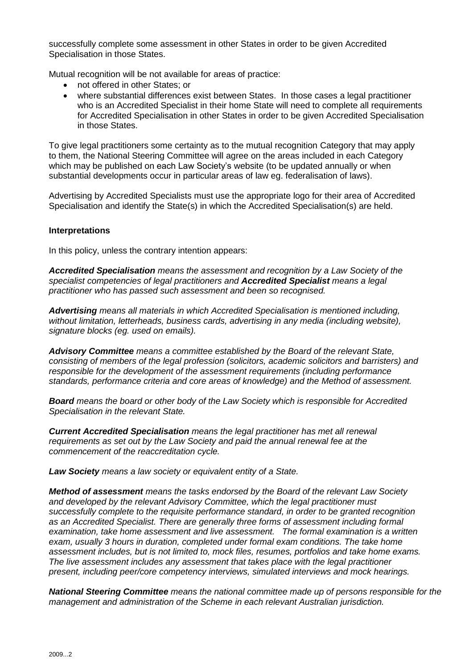successfully complete some assessment in other States in order to be given Accredited Specialisation in those States.

Mutual recognition will be not available for areas of practice:

- not offered in other States; or
- where substantial differences exist between States. In those cases a legal practitioner who is an Accredited Specialist in their home State will need to complete all requirements for Accredited Specialisation in other States in order to be given Accredited Specialisation in those States.

To give legal practitioners some certainty as to the mutual recognition Category that may apply to them, the National Steering Committee will agree on the areas included in each Category which may be published on each Law Society's website (to be updated annually or when substantial developments occur in particular areas of law eg. federalisation of laws).

Advertising by Accredited Specialists must use the appropriate logo for their area of Accredited Specialisation and identify the State(s) in which the Accredited Specialisation(s) are held.

#### **Interpretations**

In this policy, unless the contrary intention appears:

*Accredited Specialisation means the assessment and recognition by a Law Society of the specialist competencies of legal practitioners and Accredited Specialist means a legal practitioner who has passed such assessment and been so recognised.* 

*Advertising means all materials in which Accredited Specialisation is mentioned including, without limitation, letterheads, business cards, advertising in any media (including website), signature blocks (eg. used on emails).*

*Advisory Committee means a committee established by the Board of the relevant State, consisting of members of the legal profession (solicitors, academic solicitors and barristers) and responsible for the development of the assessment requirements (including performance standards, performance criteria and core areas of knowledge) and the Method of assessment.* 

*Board means the board or other body of the Law Society which is responsible for Accredited Specialisation in the relevant State.*

*Current Accredited Specialisation means the legal practitioner has met all renewal requirements as set out by the Law Society and paid the annual renewal fee at the commencement of the reaccreditation cycle.* 

*Law Society means a law society or equivalent entity of a State.*

*Method of assessment means the tasks endorsed by the Board of the relevant Law Society and developed by the relevant Advisory Committee, which the legal practitioner must successfully complete to the requisite performance standard, in order to be granted recognition as an Accredited Specialist. There are generally three forms of assessment including formal examination, take home assessment and live assessment. The formal examination is a written exam, usually 3 hours in duration, completed under formal exam conditions. The take home assessment includes, but is not limited to, mock files, resumes, portfolios and take home exams. The live assessment includes any assessment that takes place with the legal practitioner present, including peer/core competency interviews, simulated interviews and mock hearings.*

*National Steering Committee means the national committee made up of persons responsible for the management and administration of the Scheme in each relevant Australian jurisdiction.*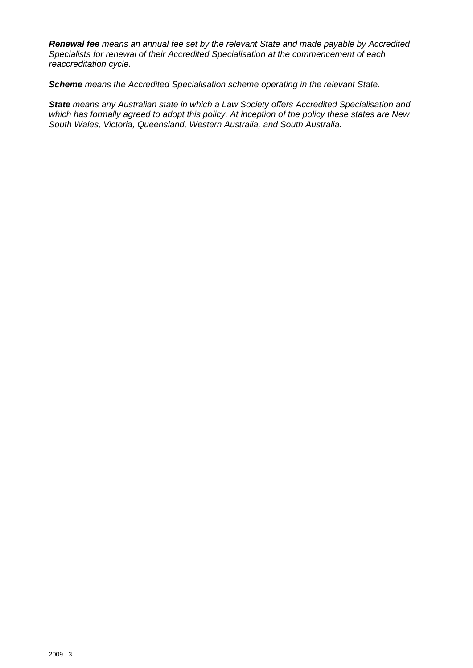*Renewal fee means an annual fee set by the relevant State and made payable by Accredited Specialists for renewal of their Accredited Specialisation at the commencement of each reaccreditation cycle.* 

*Scheme means the Accredited Specialisation scheme operating in the relevant State.*

*State means any Australian state in which a Law Society offers Accredited Specialisation and which has formally agreed to adopt this policy. At inception of the policy these states are New South Wales, Victoria, Queensland, Western Australia, and South Australia.*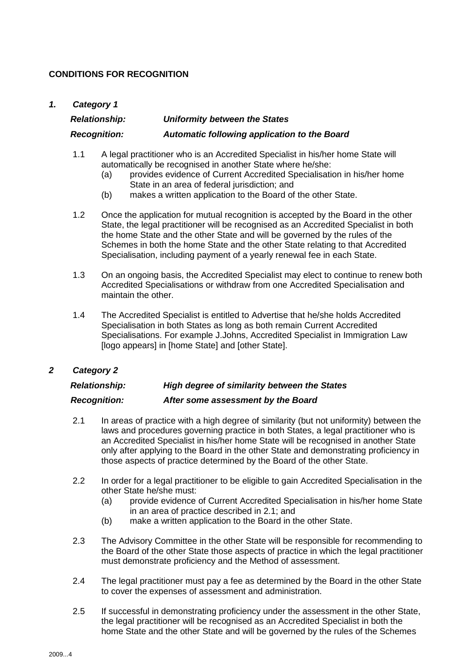### **CONDITIONS FOR RECOGNITION**

#### *1. Category 1*

# *Relationship: Uniformity between the States Recognition: Automatic following application to the Board*

- 1.1 A legal practitioner who is an Accredited Specialist in his/her home State will automatically be recognised in another State where he/she:
	- (a) provides evidence of Current Accredited Specialisation in his/her home State in an area of federal jurisdiction; and
	- (b) makes a written application to the Board of the other State.
- 1.2 Once the application for mutual recognition is accepted by the Board in the other State, the legal practitioner will be recognised as an Accredited Specialist in both the home State and the other State and will be governed by the rules of the Schemes in both the home State and the other State relating to that Accredited Specialisation, including payment of a yearly renewal fee in each State.
- 1.3 On an ongoing basis, the Accredited Specialist may elect to continue to renew both Accredited Specialisations or withdraw from one Accredited Specialisation and maintain the other.
- 1.4 The Accredited Specialist is entitled to Advertise that he/she holds Accredited Specialisation in both States as long as both remain Current Accredited Specialisations. For example J.Johns, Accredited Specialist in Immigration Law [logo appears] in [home State] and [other State].

### *2 Category 2*

# *Relationship: High degree of similarity between the States*

### *Recognition: After some assessment by the Board*

- 2.1 In areas of practice with a high degree of similarity (but not uniformity) between the laws and procedures governing practice in both States, a legal practitioner who is an Accredited Specialist in his/her home State will be recognised in another State only after applying to the Board in the other State and demonstrating proficiency in those aspects of practice determined by the Board of the other State.
- 2.2 In order for a legal practitioner to be eligible to gain Accredited Specialisation in the other State he/she must:
	- (a) provide evidence of Current Accredited Specialisation in his/her home State in an area of practice described in 2.1; and
	- (b) make a written application to the Board in the other State.
- 2.3 The Advisory Committee in the other State will be responsible for recommending to the Board of the other State those aspects of practice in which the legal practitioner must demonstrate proficiency and the Method of assessment.
- 2.4 The legal practitioner must pay a fee as determined by the Board in the other State to cover the expenses of assessment and administration.
- 2.5 If successful in demonstrating proficiency under the assessment in the other State, the legal practitioner will be recognised as an Accredited Specialist in both the home State and the other State and will be governed by the rules of the Schemes